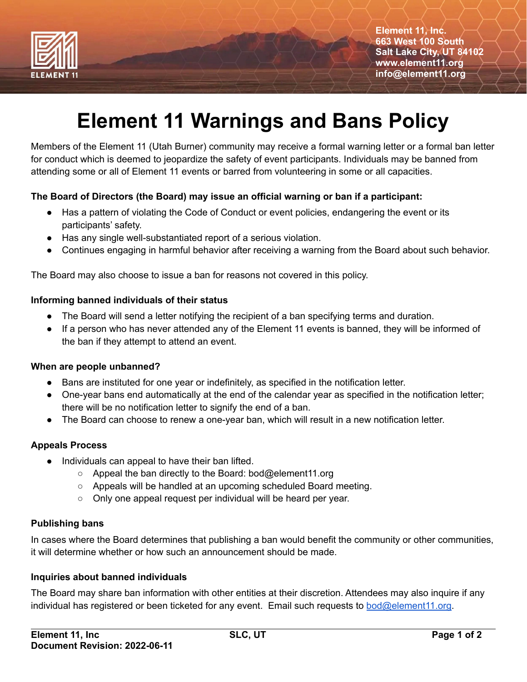

**Element 11, Inc. 663 West 100 South Salt Lake City, UT 84102 www.element11.org info@element11.org**

# **Element 11 Warnings and Bans Policy**

Members of the Element 11 (Utah Burner) community may receive a formal warning letter or a formal ban letter for conduct which is deemed to jeopardize the safety of event participants. Individuals may be banned from attending some or all of Element 11 events or barred from volunteering in some or all capacities.

## **The Board of Directors (the Board) may issue an official warning or ban if a participant:**

- Has a pattern of violating the Code of Conduct or event policies, endangering the event or its participants' safety.
- Has any single well-substantiated report of a serious violation.
- Continues engaging in harmful behavior after receiving a warning from the Board about such behavior.

The Board may also choose to issue a ban for reasons not covered in this policy.

## **Informing banned individuals of their status**

- The Board will send a letter notifying the recipient of a ban specifying terms and duration.
- If a person who has never attended any of the Element 11 events is banned, they will be informed of the ban if they attempt to attend an event.

#### **When are people unbanned?**

- Bans are instituted for one year or indefinitely, as specified in the notification letter.
- One-year bans end automatically at the end of the calendar year as specified in the notification letter; there will be no notification letter to signify the end of a ban.
- The Board can choose to renew a one-year ban, which will result in a new notification letter.

## **Appeals Process**

- Individuals can appeal to have their ban lifted.
	- Appeal the ban directly to the Board: bod@element11.org
	- Appeals will be handled at an upcoming scheduled Board meeting.
	- Only one appeal request per individual will be heard per year.

## **Publishing bans**

In cases where the Board determines that publishing a ban would benefit the community or other communities, it will determine whether or how such an announcement should be made.

## **Inquiries about banned individuals**

The Board may share ban information with other entities at their discretion. Attendees may also inquire if any individual has registered or been ticketed for any event. Email such requests to [bod@element11.org.](mailto:bod@element11.org)